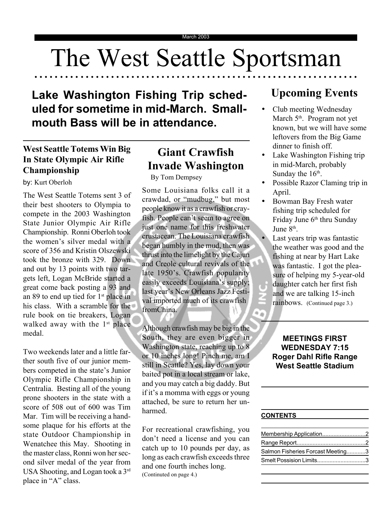# The West Seattle Sportsman

○○○○○○○○○ ○○○○○○○○○○○○○○○○○○○○○○○○○○○○○○○○○○○○○○○○○○○○○○○○○○○○○○○

# **Lake Washington Fishing Trip scheduled for sometime in mid-March. Smallmouth Bass will be in attendance.**

# **West Seattle Totems Win Big In State Olympic Air Rifle Championship**

by: Kurt Oberloh

The West Seattle Totems sent 3 of their best shooters to Olympia to compete in the 2003 Washington State Junior Olympic Air Rifle Championship. Ronni Oberloh took the women's silver medal with a score of 356 and Kristin Olszewski took the bronze with 329. Down and out by 13 points with two targets left, Logan McBride started a great come back posting a 93 and an 89 to end up tied for  $1<sup>st</sup>$  place in his class. With a scramble for the rule book on tie breakers, Logan walked away with the 1<sup>st</sup> place medal.

Two weekends later and a little farther south five of our junior members competed in the state's Junior Olympic Rifle Championship in Centralia. Besting all of the young prone shooters in the state with a score of 508 out of 600 was Tim Mar. Tim will be receiving a handsome plaque for his efforts at the state Outdoor Championship in Wenatchee this May. Shooting in the master class, Ronni won her second silver medal of the year from USA Shooting, and Logan took a 3rd place in "A" class.

# **Giant Crawfish Invade Washington**

By Tom Dempsey

Some Louisiana folks call it a crawdad, or "mudbug," but most people know it as a crawfish or crayfish. People can't seem to agree on just one name for this freshwater crustacean. The Louisiana crawfish began humbly in the mud, then was thrust into the limelight by the Cajun and Creole cultural revivals of the late 1950's. Crawfish popularity easily exceeds Louisiana's supply; last year's New Orleans Jazz Festival imported much of its crawfish fromChina.

Although crawfish may be big in the South, they are even bigger in Washington state, reaching up to 8 or 10 inches long! Pinch me, am I still in Seattle? Yes, lay down your baited pot in a local stream or lake, and you may catch a big daddy. But if it's a momma with eggs or young attached, be sure to return her unharmed.

For recreational crawfishing, you don't need a license and you can catch up to 10 pounds per day, as long as each crawfish exceeds three and one fourth inches long. (Continuted on page 4.)

# **Upcoming Events**

- Club meeting Wednesday March  $5<sup>th</sup>$ . Program not yet known, but we will have some leftovers from the Big Game dinner to finish off.
- Lake Washington Fishing trip in mid-March, probably Sunday the  $16<sup>th</sup>$ .
- Possible Razor Claming trip in April.
- Bowman Bay Fresh water fishing trip scheduled for Friday June 6<sup>th</sup> thru Sunday June 8<sup>th</sup>.
- Last years trip was fantastic the weather was good and the fishing at near by Hart Lake was fantastic. I got the pleasure of helping my 5-year-old daughter catch her first fish and we are talking 15-inch rainbows. (Continued page 3.)

## **MEETINGS FIRST WEDNESDAY 7:15 Roger Dahl Rifle Range West Seattle Stadium**

## **CONTENTS**

ه ه

| Salmon Fisheries Forcast Meeting3<br>Smelt Possision Limits3 |  |  |
|--------------------------------------------------------------|--|--|
|                                                              |  |  |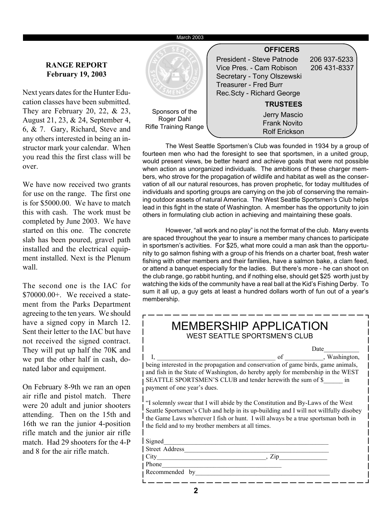#### March 2003

### **RANGE REPORT February 19, 2003**

Next years dates for the Hunter Education classes have been submitted. They are February 20, 22, & 23, August 21, 23, & 24, September 4, 6, & 7. Gary, Richard, Steve and any others interested in being an instructor mark your calendar. When you read this the first class will be over.

We have now received two grants for use on the range. The first one is for \$5000.00. We have to match this with cash. The work must be completed by June 2003. We have started on this one. The concrete slab has been poured, gravel path installed and the electrical equipment installed. Next is the Plenum wall.

The second one is the IAC for \$70000.00+. We received a statement from the Parks Department agreeing to the ten years. We should have a signed copy in March 12. Sent their letter to the IAC but have not received the signed contract. They will put up half the 70K and we put the other half in cash, donated labor and equipment.

On February 8-9th we ran an open air rifle and pistol match. There were 20 adult and junior shooters attending. Then on the 15th and 16th we ran the junior 4-position rifle match and the junior air rifle match. Had 29 shooters for the 4-P and 8 for the air rifle match.



The West Seattle Sportsmen's Club was founded in 1934 by a group of fourteen men who had the foresight to see that sportsmen, in a united group, would present views, be better heard and achieve goals that were not possible when action as unorganized individuals. The ambitions of these charger members, who strove for the propagation of wildlife and habitat as well as the conservation of all our natural resources, has proven prophetic, for today multitudes of individuals and sporting groups are carrying on the job of conserving the remaining outdoor assets of natural America. The West Seattle Sportsmen's Club helps lead in this fight in the state of Washington. A member has the opportunity to join others in formulating club action in achieving and maintaining these goals.

However, "all work and no play" is not the format of the club. Many events are spaced throughout the year to insure a member many chances to participate in sportsmen's activities. For \$25, what more could a man ask than the opportunity to go salmon fishing with a group of his friends on a charter boat, fresh water fishing with other members and their families, have a salmon bake, a clam feed, or attend a banquet especially for the ladies. But there's more - he can shoot on the club range, go rabbit hunting, and if nothing else, should get \$25 worth just by watching the kids of the community have a real ball at the Kid's Fishing Derby. To sum it all up, a guy gets at least a hundred dollars worth of fun out of a year's membership.

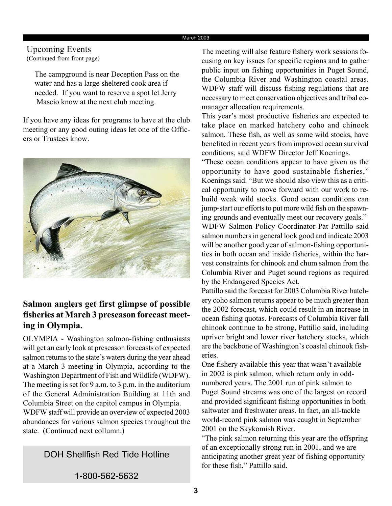#### March 2003

# Upcoming Events

(Continued from front page)

The campground is near Deception Pass on the water and has a large sheltered cook area if needed. If you want to reserve a spot let Jerry Mascio know at the next club meeting.

If you have any ideas for programs to have at the club meeting or any good outing ideas let one of the Officers or Trustees know.



# **Salmon anglers get first glimpse of possible fisheries at March 3 preseason forecast meeting in Olympia.**

OLYMPIA - Washington salmon-fishing enthusiasts will get an early look at preseason forecasts of expected salmon returns to the state's waters during the year ahead at a March 3 meeting in Olympia, according to the Washington Department of Fish and Wildlife (WDFW). The meeting is set for 9 a.m. to 3 p.m. in the auditorium of the General Administration Building at 11th and Columbia Street on the capitol campus in Olympia. WDFW staff will provide an overview of expected 2003

abundances for various salmon species throughout the state. (Continued next collumn.)

DOH Shellfish Red Tide Hotline

The meeting will also feature fishery work sessions focusing on key issues for specific regions and to gather public input on fishing opportunities in Puget Sound, the Columbia River and Washington coastal areas. WDFW staff will discuss fishing regulations that are necessary to meet conservation objectives and tribal comanager allocation requirements.

This year's most productive fisheries are expected to take place on marked hatchery coho and chinook salmon. These fish, as well as some wild stocks, have benefited in recent years from improved ocean survival conditions, said WDFW Director Jeff Koenings.

"These ocean conditions appear to have given us the opportunity to have good sustainable fisheries," Koenings said. "But we should also view this as a critical opportunity to move forward with our work to rebuild weak wild stocks. Good ocean conditions can jump-start our efforts to put more wild fish on the spawning grounds and eventually meet our recovery goals."

WDFW Salmon Policy Coordinator Pat Pattillo said salmon numbers in general look good and indicate 2003 will be another good year of salmon-fishing opportunities in both ocean and inside fisheries, within the harvest constraints for chinook and chum salmon from the Columbia River and Puget sound regions as required by the Endangered Species Act.

Pattillo said the forecast for 2003 Columbia River hatchery coho salmon returns appear to be much greater than the 2002 forecast, which could result in an increase in ocean fishing quotas. Forecasts of Columbia River fall chinook continue to be strong, Pattillo said, including upriver bright and lower river hatchery stocks, which are the backbone of Washington's coastal chinook fisheries.

One fishery available this year that wasn't available in 2002 is pink salmon, which return only in oddnumbered years. The 2001 run of pink salmon to Puget Sound streams was one of the largest on record and provided significant fishing opportunities in both saltwater and freshwater areas. In fact, an all-tackle world-record pink salmon was caught in September 2001 on the Skykomish River.

"The pink salmon returning this year are the offspring of an exceptionally strong run in 2001, and we are anticipating another great year of fishing opportunity for these fish," Pattillo said.

1-800-562-5632